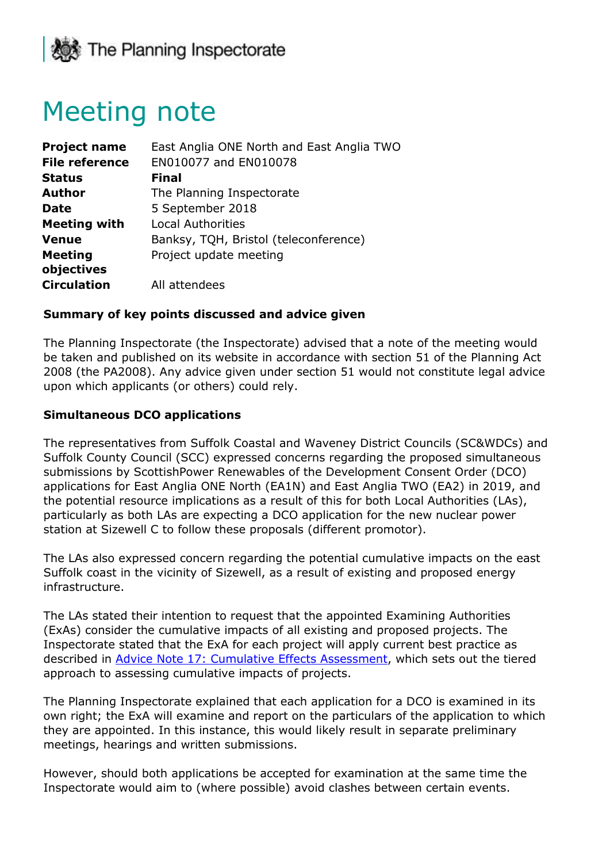

# Meeting note

| <b>Project name</b>   | East Anglia ONE North and East Anglia TWO |
|-----------------------|-------------------------------------------|
| <b>File reference</b> | EN010077 and EN010078                     |
| <b>Status</b>         | <b>Final</b>                              |
| <b>Author</b>         | The Planning Inspectorate                 |
| <b>Date</b>           | 5 September 2018                          |
| <b>Meeting with</b>   | <b>Local Authorities</b>                  |
| <b>Venue</b>          | Banksy, TQH, Bristol (teleconference)     |
| <b>Meeting</b>        | Project update meeting                    |
| objectives            |                                           |
| <b>Circulation</b>    | All attendees                             |

#### **Summary of key points discussed and advice given**

The Planning Inspectorate (the Inspectorate) advised that a note of the meeting would be taken and published on its website in accordance with section 51 of the Planning Act 2008 (the PA2008). Any advice given under section 51 would not constitute legal advice upon which applicants (or others) could rely.

#### **Simultaneous DCO applications**

The representatives from Suffolk Coastal and Waveney District Councils (SC&WDCs) and Suffolk County Council (SCC) expressed concerns regarding the proposed simultaneous submissions by ScottishPower Renewables of the Development Consent Order (DCO) applications for East Anglia ONE North (EA1N) and East Anglia TWO (EA2) in 2019, and the potential resource implications as a result of this for both Local Authorities (LAs), particularly as both LAs are expecting a DCO application for the new nuclear power station at Sizewell C to follow these proposals (different promotor).

The LAs also expressed concern regarding the potential cumulative impacts on the east Suffolk coast in the vicinity of Sizewell, as a result of existing and proposed energy infrastructure.

The LAs stated their intention to request that the appointed Examining Authorities (ExAs) consider the cumulative impacts of all existing and proposed projects. The Inspectorate stated that the ExA for each project will apply current best practice as described in [Advice Note 17: Cumulative Effects Assessment,](https://infrastructure.planninginspectorate.gov.uk/wp-content/uploads/2015/12/Advice-note-17V4.pdf) which sets out the tiered approach to assessing cumulative impacts of projects.

The Planning Inspectorate explained that each application for a DCO is examined in its own right; the ExA will examine and report on the particulars of the application to which they are appointed. In this instance, this would likely result in separate preliminary meetings, hearings and written submissions.

However, should both applications be accepted for examination at the same time the Inspectorate would aim to (where possible) avoid clashes between certain events.